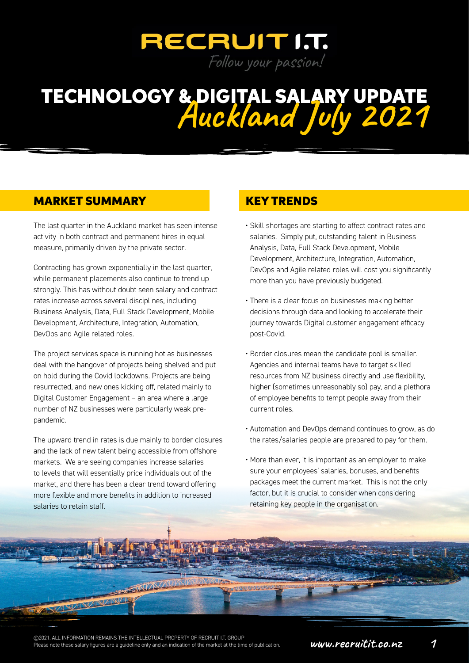

### MARKET SUMMARY KEY TRENDS

The last quarter in the Auckland market has seen intense activity in both contract and permanent hires in equal measure, primarily driven by the private sector.

Contracting has grown exponentially in the last quarter, while permanent placements also continue to trend up strongly. This has without doubt seen salary and contract rates increase across several disciplines, including Business Analysis, Data, Full Stack Development, Mobile Development, Architecture, Integration, Automation, DevOps and Agile related roles.

The project services space is running hot as businesses deal with the hangover of projects being shelved and put on hold during the Covid lockdowns. Projects are being resurrected, and new ones kicking off, related mainly to Digital Customer Engagement – an area where a large number of NZ businesses were particularly weak prepandemic.

The upward trend in rates is due mainly to border closures and the lack of new talent being accessible from offshore markets. We are seeing companies increase salaries to levels that will essentially price individuals out of the market, and there has been a clear trend toward offering more flexible and more benefits in addition to increased salaries to retain staff.

- Skill shortages are starting to affect contract rates and salaries. Simply put, outstanding talent in Business Analysis, Data, Full Stack Development, Mobile Development, Architecture, Integration, Automation, DevOps and Agile related roles will cost you significantly more than you have previously budgeted.
- There is a clear focus on businesses making better decisions through data and looking to accelerate their journey towards Digital customer engagement efficacy post-Covid.
- Border closures mean the candidate pool is smaller. Agencies and internal teams have to target skilled resources from NZ business directly and use flexibility, higher (sometimes unreasonably so) pay, and a plethora of employee benefits to tempt people away from their current roles.
- Automation and DevOps demand continues to grow, as do the rates/salaries people are prepared to pay for them.
- More than ever, it is important as an employer to make sure your employees' salaries, bonuses, and benefits packages meet the current market. This is not the only factor, but it is crucial to consider when considering retaining key people in the organisation.

©2021. ALL INFORMATION REMAINS THE INTELLECTUAL PROPERTY OF RECRUIT I.T. GROUP<br>Please note these salary figures are a guideline only and an indication of the market at the time of publication. **WWW.FECFUICIC.CO.HZ** 

**STATISTICS** 

**TAXING WARD**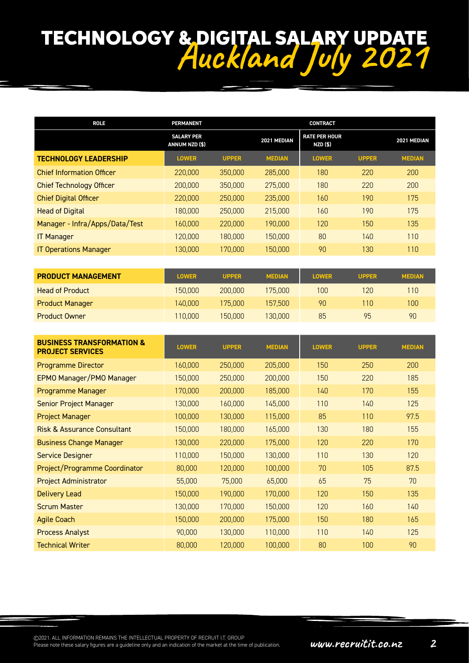| <b>ROLE</b>                      | <b>PERMANENT</b>                    |              |               | <b>CONTRACT</b>                         |              |               |
|----------------------------------|-------------------------------------|--------------|---------------|-----------------------------------------|--------------|---------------|
|                                  | <b>SALARY PER</b><br>ANNUM NZD (\$) |              | 2021 MEDIAN   | <b>RATE PER HOUR</b><br><b>NZD (\$)</b> |              | 2021 MEDIAN   |
| <b>TECHNOLOGY LEADERSHIP</b>     | <b>LOWER</b>                        | <b>UPPER</b> | <b>MEDIAN</b> | <b>LOWER</b>                            | <b>UPPER</b> | <b>MEDIAN</b> |
| <b>Chief Information Officer</b> | 220,000                             | 350,000      | 285,000       | 180                                     | 220          | 200           |
| <b>Chief Technology Officer</b>  | 200,000                             | 350,000      | 275,000       | 180                                     | 220          | 200           |
| <b>Chief Digital Officer</b>     | 220,000                             | 250,000      | 235,000       | 160                                     | 190          | 175           |
| <b>Head of Digital</b>           | 180,000                             | 250,000      | 215,000       | 160                                     | 190          | 175           |
| Manager - Infra/Apps/Data/Test   | 160,000                             | 220,000      | 190,000       | 120                                     | 150          | 135           |
| <b>IT Manager</b>                | 120,000                             | 180,000      | 150,000       | 80                                      | 140          | 110           |
| <b>IT Operations Manager</b>     | 130,000                             | 170,000      | 150,000       | 90                                      | 130          | 110           |

| <b>PRODUCT MANAGEMENT</b> | <b>LOWER</b> | <b>UPPER</b> | <b>MEDIAN</b> | <b>LOWER</b> | <b>UPPER</b> | <b>MEDIAN</b> |
|---------------------------|--------------|--------------|---------------|--------------|--------------|---------------|
| <b>Head of Product</b>    | 150,000      | 200,000      | 175,000       | 100          | 120          | 110           |
| <b>Product Manager</b>    | 140.000      | 175.000.     | 157.500       | 90           | 110          | 100           |
| <b>Product Owner</b>      | 110,000      | 150.000      | 130,000       | 85           | 95           | 90            |

| <b>BUSINESS TRANSFORMATION &amp;</b><br><b>PROJECT SERVICES</b> | <b>LOWER</b> | <b>UPPER</b> | <b>MEDIAN</b> | <b>LOWER</b> | <b>UPPER</b> | <b>MEDIAN</b> |
|-----------------------------------------------------------------|--------------|--------------|---------------|--------------|--------------|---------------|
| <b>Programme Director</b>                                       | 160,000      | 250,000      | 205,000       | 150          | 250          | 200           |
| EPMO Manager/PMO Manager                                        | 150,000      | 250,000      | 200,000       | 150          | 220          | 185           |
| Programme Manager                                               | 170,000      | 200,000      | 185,000       | 140          | 170          | 155           |
| <b>Senior Project Manager</b>                                   | 130,000      | 160,000      | 145,000       | 110          | 140          | 125           |
| <b>Project Manager</b>                                          | 100,000      | 130,000      | 115,000       | 85           | 110          | 97.5          |
| <b>Risk &amp; Assurance Consultant</b>                          | 150,000      | 180,000      | 165,000       | 130          | 180          | 155           |
| <b>Business Change Manager</b>                                  | 130,000      | 220,000      | 175,000       | 120          | 220          | 170           |
| <b>Service Designer</b>                                         | 110,000      | 150,000      | 130,000       | 110          | 130          | 120           |
| Project/Programme Coordinator                                   | 80,000       | 120,000      | 100,000       | 70           | 105          | 87.5          |
| <b>Project Administrator</b>                                    | 55,000       | 75,000       | 65,000        | 65           | 75           | 70            |
| Delivery Lead                                                   | 150,000      | 190,000      | 170,000       | 120          | 150          | 135           |
| <b>Scrum Master</b>                                             | 130,000      | 170,000      | 150,000       | 120          | 160          | 140           |
| <b>Agile Coach</b>                                              | 150,000      | 200,000      | 175,000       | 150          | 180          | 165           |
| <b>Process Analyst</b>                                          | 90,000       | 130,000      | 110,000       | 110          | 140          | 125           |
| <b>Technical Writer</b>                                         | 80,000       | 120,000      | 100,000       | 80           | 100          | 90            |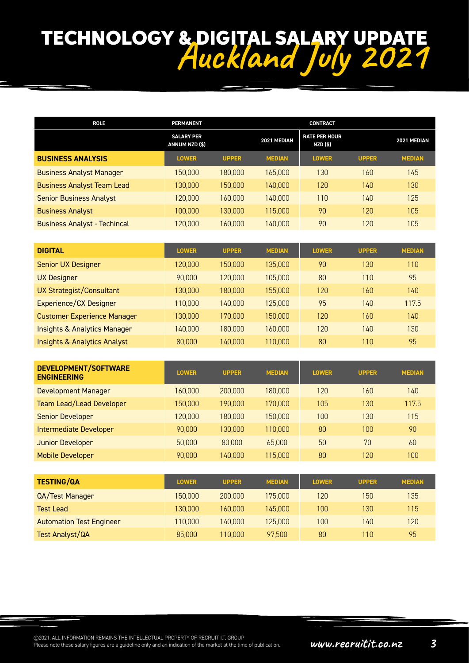| <b>ROLE</b>                         | <b>PERMANENT</b>                    |              |               | <b>CONTRACT</b>                         |              |               |
|-------------------------------------|-------------------------------------|--------------|---------------|-----------------------------------------|--------------|---------------|
|                                     | <b>SALARY PER</b><br>ANNUM NZD (\$) |              | 2021 MEDIAN   | <b>RATE PER HOUR</b><br><b>NZD (\$)</b> |              | 2021 MEDIAN   |
| <b>BUSINESS ANALYSIS</b>            | <b>LOWER</b>                        | <b>UPPER</b> | <b>MEDIAN</b> | <b>LOWER</b>                            | <b>UPPER</b> | <b>MEDIAN</b> |
| <b>Business Analyst Manager</b>     | 150.000                             | 180,000      | 165,000       | 130                                     | 160          | 145           |
| <b>Business Analyst Team Lead</b>   | 130.000                             | 150.000      | 140,000       | 120                                     | 140          | 130           |
| <b>Senior Business Analyst</b>      | 120.000                             | 160.000      | 140.000       | 110                                     | 140          | 125           |
| <b>Business Analyst</b>             | 100.000                             | 130,000      | 115,000       | 90                                      | 120          | 105           |
| <b>Business Analyst - Techincal</b> | 120.000                             | 160.000      | 140.000       | 90                                      | 120          | 105           |

| <b>DIGITAL</b>                          | <b>LOWER</b> | <b>UPPER</b> | <b>MEDIAN</b> | <b>LOWER</b> | <b>UPPER</b> | <b>MEDIAN</b> |
|-----------------------------------------|--------------|--------------|---------------|--------------|--------------|---------------|
| <b>Senior UX Designer</b>               | 120.000      | 150.000      | 135.000       | 90           | 130          | 110           |
| <b>UX Designer</b>                      | 90,000       | 120,000      | 105,000       | 80           | 110          | 95            |
| <b>UX Strategist/Consultant</b>         | 130.000      | 180,000      | 155,000       | 120          | 160          | 140           |
| Experience/CX Designer                  | 110,000      | 140.000      | 125.000       | 95           | 140          | 117.5         |
| <b>Customer Experience Manager</b>      | 130.000      | 170,000      | 150.000       | 120          | 160          | 140           |
| <b>Insights &amp; Analytics Manager</b> | 140.000      | 180.000      | 160.000       | 120          | 140          | 130           |
| <b>Insights &amp; Analytics Analyst</b> | 80,000       | 140.000      | 110.000       | 80           | 110          | 95            |

| <b>DEVELOPMENT/SOFTWARE</b><br><b>ENGINEERING</b> | <b>LOWER</b> | <b>UPPER</b> | <b>MEDIAN</b> | <b>LOWER</b> | <b>UPPER</b> | <b>MEDIAN</b> |
|---------------------------------------------------|--------------|--------------|---------------|--------------|--------------|---------------|
| Development Manager                               | 160.000      | 200,000      | 180.000       | 120          | 160          | 140           |
| Team Lead/Lead Developer                          | 150.000      | 190.000      | 170,000       | 105          | 130          | 117.5         |
| <b>Senior Developer</b>                           | 120.000      | 180.000      | 150.000       | 100          | 130          | 115           |
| Intermediate Developer                            | 90,000       | 130,000      | 110,000       | 80           | 100          | 90            |
| <b>Junior Developer</b>                           | 50,000       | 80,000       | 65,000        | 50           | 70           | 60            |
| <b>Mobile Developer</b>                           | 90,000       | 140.000      | 115,000       | 80           | 120          | 100           |

| <b>TESTING/QA</b>               | <b>LOWER</b> | <b>UPPER</b> | <b>MEDIAN</b> | <b>LOWER</b> | <b>UPPER</b> | <b>MEDIAN</b> |
|---------------------------------|--------------|--------------|---------------|--------------|--------------|---------------|
| QA/Test Manager                 | 150,000      | 200,000      | 175,000       | 120          | 150          | 135           |
| Test Lead                       | 130,000      | 160.000      | 145.000       | 100          | 130          | 115           |
| <b>Automation Test Engineer</b> | 110,000      | 140.000      | 125,000       | 100          | 140          | 120           |
| <b>Test Analyst/QA</b>          | 85,000       | 110.000      | 97.500        | 80           | 10           | 95            |

©2021. ALL INFORMATION REMAINS THE INTELLECTUAL PROPERTY OF RECRUIT I.T. GROUP<br>Please note these salary figures are a guideline only and an indication of the market at the time of publication. **WWW.FECFUICIC.CO.AZ**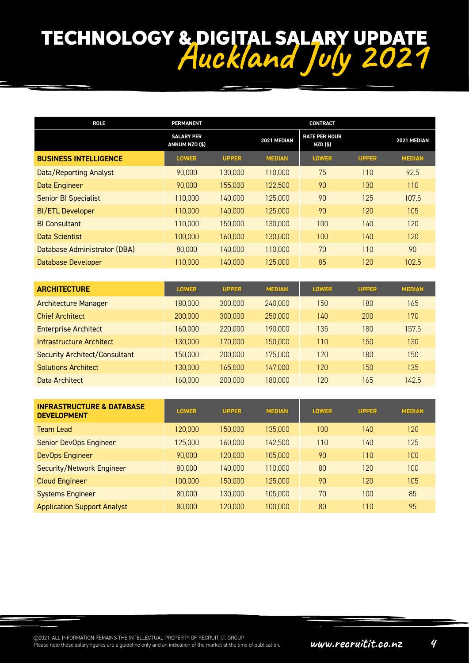| <b>ROLE</b>                   | <b>PERMANENT</b>                    |              |               | <b>CONTRACT</b>                  |              |               |
|-------------------------------|-------------------------------------|--------------|---------------|----------------------------------|--------------|---------------|
|                               | <b>SALARY PER</b><br>ANNUM NZD (\$) |              | 2021 MEDIAN   | <b>RATE PER HOUR</b><br>NZD (\$) |              | 2021 MEDIAN   |
| <b>BUSINESS INTELLIGENCE</b>  | <b>LOWER</b>                        | <b>UPPER</b> | <b>MEDIAN</b> | <b>LOWER</b>                     | <b>UPPER</b> | <b>MEDIAN</b> |
| <b>Data/Reporting Analyst</b> | 90,000                              | 130,000      | 110,000       | 75                               | 110          | 92.5          |
| Data Engineer                 | 90,000                              | 155,000      | 122,500       | 90                               | 130          | 110           |
| <b>Senior BI Specialist</b>   | 110,000                             | 140,000      | 125,000       | 90                               | 125          | 107.5         |
| <b>BI/ETL Developer</b>       | 110,000                             | 140,000      | 125,000       | 90                               | 120          | 105           |
| <b>BI Consultant</b>          | 110,000                             | 150,000      | 130,000       | 100                              | 140          | 120           |
| Data Scientist                | 100,000                             | 160,000      | 130,000       | 100                              | 140          | 120           |
| Database Administrator (DBA)  | 80,000                              | 140,000      | 110,000       | 70                               | 110          | 90            |
| Database Developer            | 110,000                             | 140,000      | 125,000       | 85                               | 120          | 102.5         |

| <b>ARCHITECTURE</b>                  | <b>LOWER</b> | <b>UPPER</b> | <b>MEDIAN</b> | <b>LOWER</b> | <b>UPPER</b> | <b>MEDIAN</b> |
|--------------------------------------|--------------|--------------|---------------|--------------|--------------|---------------|
| <b>Architecture Manager</b>          | 180.000      | 300,000      | 240,000       | 150          | 180          | 165           |
| <b>Chief Architect</b>               | 200,000      | 300,000      | 250,000       | 140          | 200          | 170           |
| <b>Enterprise Architect</b>          | 160.000      | 220,000      | 190,000       | 135          | 180          | 157.5         |
| Infrastructure Architect             | 130.000      | 170,000      | 150,000       | 110          | 150          | 130           |
| <b>Security Architect/Consultant</b> | 150.000      | 200,000      | 175,000       | 120          | 180          | 150           |
| <b>Solutions Architect</b>           | 130.000      | 165.000      | 147.000       | 120          | 150          | 135           |
| Data Architect                       | 160.000      | 200,000      | 180,000       | 120          | 165          | 142.5         |

| <b>INFRASTRUCTURE &amp; DATABASE</b><br><b>DEVELOPMENT</b> | <b>LOWER</b> | <b>UPPER</b> | <b>MEDIAN</b> | <b>LOWER</b> | <b>UPPER</b> | <b>MEDIAN</b> |
|------------------------------------------------------------|--------------|--------------|---------------|--------------|--------------|---------------|
| Team Lead                                                  | 120,000      | 150.000      | 135.000       | 100          | 140          | 120           |
| Senior DevOps Engineer                                     | 125,000      | 160.000      | 142,500       | 110          | 140          | 125           |
| DevOps Engineer                                            | 90,000       | 120,000      | 105,000       | 90           | 110          | 100           |
| Security/Network Engineer                                  | 80,000       | 140.000      | 110,000       | 80           | 120          | 100           |
| <b>Cloud Engineer</b>                                      | 100,000      | 150,000      | 125.000       | 90           | 120          | 105           |
| <b>Systems Engineer</b>                                    | 80,000       | 130.000      | 105.000       | 70           | 100          | 85            |
| <b>Application Support Analyst</b>                         | 80,000       | 120.000      | 100,000       | 80           | 110          | 95            |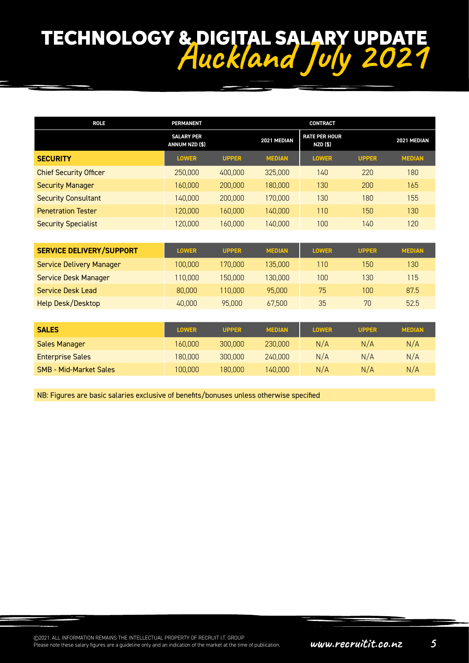| <b>ROLE</b>                     | <b>PERMANENT</b>                    |              |               | <b>CONTRACT</b>                         |              |               |
|---------------------------------|-------------------------------------|--------------|---------------|-----------------------------------------|--------------|---------------|
|                                 | <b>SALARY PER</b><br>ANNUM NZD (\$) |              | 2021 MEDIAN   | <b>RATE PER HOUR</b><br><b>NZD (\$)</b> |              | 2021 MEDIAN   |
| <b>SECURITY</b>                 | <b>LOWER</b>                        | <b>UPPER</b> | <b>MEDIAN</b> | <b>LOWER</b>                            | <b>UPPER</b> | <b>MEDIAN</b> |
| <b>Chief Security Officer</b>   | 250,000                             | 400,000      | 325,000       | 140                                     | 220          | 180           |
| <b>Security Manager</b>         | 160,000                             | 200,000      | 180,000       | 130                                     | 200          | 165           |
| <b>Security Consultant</b>      | 140,000                             | 200,000      | 170,000       | 130                                     | 180          | 155           |
| <b>Penetration Tester</b>       | 120,000                             | 160,000      | 140,000       | 110                                     | 150          | 130           |
| <b>Security Specialist</b>      | 120,000                             | 160,000      | 140,000       | 100                                     | 140          | 120           |
|                                 |                                     |              |               |                                         |              |               |
| <b>SERVICE DELIVERY/SUPPORT</b> | <b>LOWER</b>                        | <b>UPPER</b> | <b>MEDIAN</b> | <b>LOWER</b>                            | <b>UPPER</b> | <b>MEDIAN</b> |
| <b>Service Delivery Manager</b> | 100,000                             | 170,000      | 135,000       | 110                                     | 150          | 130           |
| Service Desk Manager            | 110,000                             | 150,000      | 130,000       | 100                                     | 130          | 115           |
| Service Desk Lead               | 80,000                              | 110,000      | 95,000        | 75                                      | 100          | 87.5          |
| Help Desk/Desktop               | 40,000                              | 95,000       | 67,500        | 35                                      | 70           | 52.5          |
|                                 |                                     |              |               |                                         |              |               |
| <b>SALES</b>                    | <b>LOWER</b>                        | <b>UPPER</b> | <b>MEDIAN</b> | <b>LOWER</b>                            | <b>UPPER</b> | <b>MEDIAN</b> |
| <b>Sales Manager</b>            | 160,000                             | 300,000      | 230,000       | N/A                                     | N/A          | N/A           |
| <b>Enterprise Sales</b>         | 180,000                             | 300,000      | 240,000       | N/A                                     | N/A          | N/A           |
| <b>SMB - Mid-Market Sales</b>   | 100,000                             | 180,000      | 140,000       | N/A                                     | N/A          | N/A           |

NB: Figures are basic salaries exclusive of benefits/bonuses unless otherwise specified

©2021. ALL INFORMATION REMAINS THE INTELLECTUAL PROPERTY OF RECRUIT I.T. GROUP<br>Please note these salary figures are a guideline only and an indication of the market at the time of publication. **WWW.FECFUICICLE.CO.HZ**